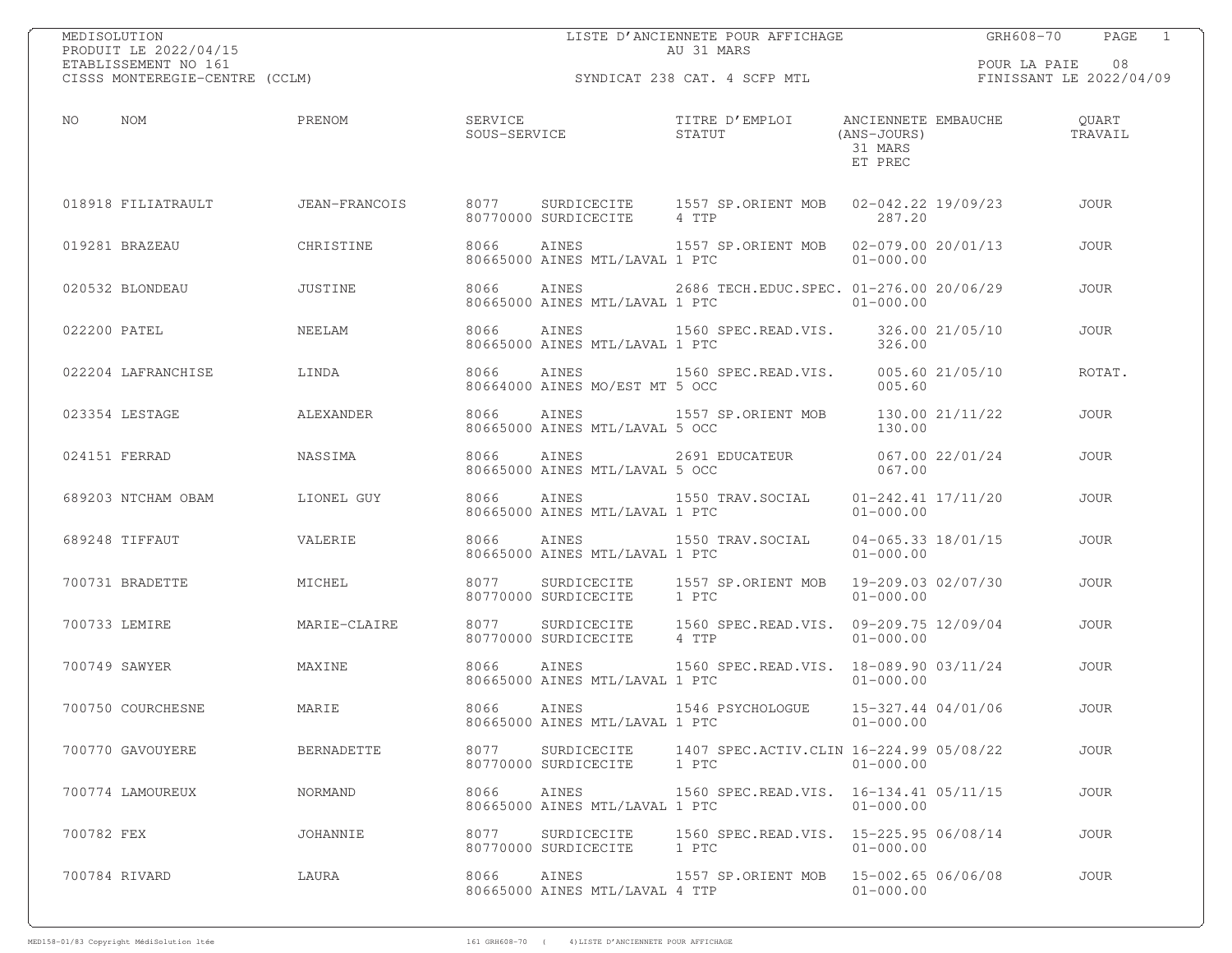| MEDISOLUTION<br>PRODUIT LE 2022/04/15                  |                   |                              |                                         | LISTE D'ANCIENNETE POUR AFFICHAGE<br>AU 31 MARS                                 |                                     | PAGE 1<br>GRH608-70                        |
|--------------------------------------------------------|-------------------|------------------------------|-----------------------------------------|---------------------------------------------------------------------------------|-------------------------------------|--------------------------------------------|
| ETABLISSEMENT NO 161<br>CISSS MONTEREGIE-CENTRE (CCLM) |                   |                              |                                         | SYNDICAT 238 CAT. 4 SCFP MTL                                                    |                                     | POUR LA PAIE 08<br>FINISSANT LE 2022/04/09 |
| NO<br>NOM                                              | PRENOM            | SOUS-SERVICE                 | SERVICE                                 | TITRE D'EMPLOI ANCIENNETE EMBAUCHE<br>STATUT                                    | (ANS-JOURS)<br>31 MARS<br>ET PREC   | QUART<br>TRAVAIL                           |
| 018918 FILIATRAULT JEAN-FRANCOIS                       |                   | 8077                         | 80770000 SURDICECITE                    | SURDICECITE 1557 SP.ORIENT MOB 02-042.22 19/09/23<br>4 TTP                      | 287.20                              | JOUR                                       |
| 019281 BRAZEAU                                         | CHRISTINE         | 8066                         | 80665000 AINES MTL/LAVAL 1 PTC          | AINES 1557 SP.ORIENT MOB 02-079.00 20/01/13                                     | $01 - 000.00$                       | JOUR                                       |
| 020532 BLONDEAU                                        | JUSTINE           | 8066                         |                                         | AINES 2686 TECH.EDUC.SPEC. 01-276.00 20/06/29<br>80665000 AINES MTL/LAVAL 1 PTC | $01 - 000.00$                       | JOUR                                       |
| 022200 PATEL                                           | NEELAM            | 8066                         | AINES<br>80665000 AINES MTL/LAVAL 1 PTC | 1560 SPEC.READ.VIS. 326.00 21/05/10                                             | 326.00                              | JOUR                                       |
| 022204 LAFRANCHISE                                     | LINDA             | 8066                         | AINES<br>80664000 AINES MO/EST MT 5 OCC | 1560 SPEC.READ.VIS. 005.60 21/05/10                                             | 005.60                              | ROTAT.                                     |
| 023354 LESTAGE                                         | ALEXANDER         | 8066                         | 80665000 AINES MTL/LAVAL 5 OCC          | AINES 1557 SP.ORIENT MOB 130.00 21/11/22                                        | 130.00                              | <b>JOUR</b>                                |
| 024151 FERRAD                                          | NASSIMA           | 8066                         | 80665000 AINES MTL/LAVAL 5 OCC          | AINES 2691 EDUCATEUR 067.00 22/01/24                                            | 067.00                              | JOUR                                       |
| 689203 NTCHAM OBAM                                     | LIONEL GUY        | 8066                         | AINES<br>80665000 AINES MTL/LAVAL 1 PTC | 1550 TRAV.SOCIAL 01-242.41 17/11/20                                             | $01 - 000.00$                       | JOUR                                       |
| 689248 TIFFAUT                                         | VALERIE           | 8066                         | AINES<br>80665000 AINES MTL/LAVAL 1 PTC | 1550 TRAV.SOCIAL 04-065.33 18/01/15                                             | $01 - 000.00$                       | <b>JOUR</b>                                |
| 700731 BRADETTE                                        | MICHEL            | 8077                         | 80770000 SURDICECITE                    | SURDICECITE 1557 SP.ORIENT MOB 19-209.03 02/07/30<br>1 PTC                      | $01 - 000.00$                       | <b>JOUR</b>                                |
| 700733 LEMIRE                                          | MARIE-CLAIRE      | 8077<br>80770000 SURDICECITE |                                         | SURDICECITE 1560 SPEC.READ.VIS. 09-209.75 12/09/04<br>4 TTP                     | $01 - 000.00$                       | <b>JOUR</b>                                |
| 700749 SAWYER                                          | MAXINE            | 8066                         | AINES<br>80665000 AINES MTL/LAVAL 1 PTC | 1560 SPEC.READ.VIS. 18-089.90 03/11/24                                          | $01 - 000.00$                       | <b>JOUR</b>                                |
| 700750 COURCHESNE                                      | MARIE             | 8066                         | AINES<br>80665000 AINES MTL/LAVAL 1 PTC | 1546 PSYCHOLOGUE                                                                | 15-327.44 04/01/06<br>$01 - 000.00$ | <b>JOUR</b>                                |
| 700770 GAVOUYERE                                       | <b>BERNADETTE</b> | 8077<br>80770000 SURDICECITE | SURDICECITE                             | 1407 SPEC.ACTIV.CLIN 16-224.99 05/08/22<br>1 PTC                                | $01 - 000.00$                       | <b>JOUR</b>                                |
| 700774 LAMOUREUX                                       | NORMAND           | 8066                         | AINES<br>80665000 AINES MTL/LAVAL 1 PTC | 1560 SPEC.READ.VIS. 16-134.41 05/11/15                                          | $01 - 000.00$                       | <b>JOUR</b>                                |
| 700782 FEX                                             | JOHANNIE          | 8077<br>80770000 SURDICECITE | SURDICECITE                             | 1560 SPEC.READ.VIS. 15-225.95 06/08/14<br>1 PTC                                 | $01 - 000.00$                       | <b>JOUR</b>                                |
| 700784 RIVARD                                          | LAURA             | 8066                         | AINES<br>80665000 AINES MTL/LAVAL 4 TTP | 1557 SP.ORIENT MOB                                                              | 15-002.65 06/06/08<br>$01 - 000.00$ | <b>JOUR</b>                                |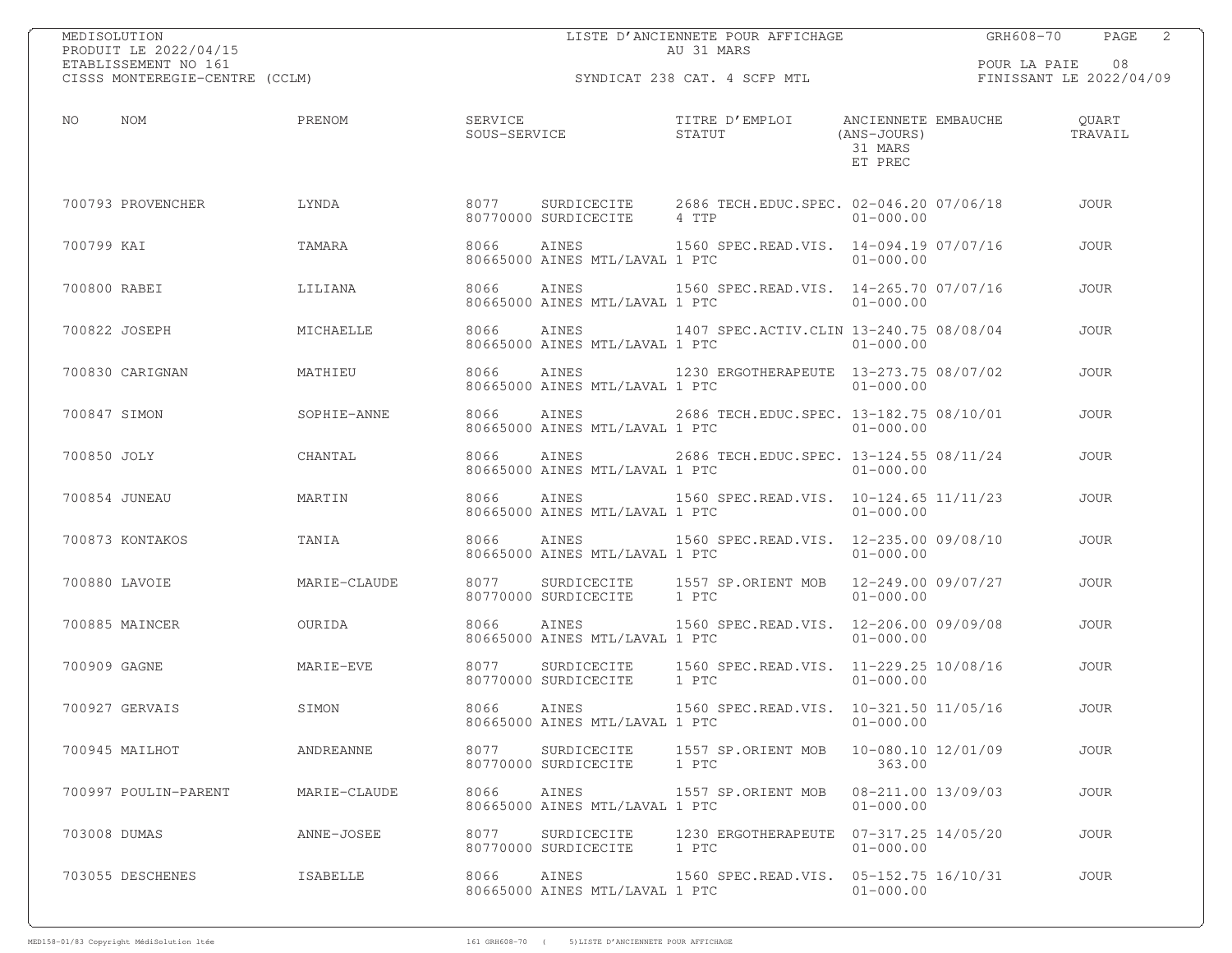| MEDISOLUTION<br>PRODUIT LE 2022/04/15                  |              |      |                                                                                 | AU 31 MARS | LISTE D'ANCIENNETE POUR AFFICHAGE            |                                     | GRH608-70       | $\overline{\phantom{a}}$<br>PAGE |
|--------------------------------------------------------|--------------|------|---------------------------------------------------------------------------------|------------|----------------------------------------------|-------------------------------------|-----------------|----------------------------------|
| ETABLISSEMENT NO 161<br>CISSS MONTEREGIE-CENTRE (CCLM) |              |      |                                                                                 |            | SYNDICAT 238 CAT. 4 SCFP MTL                 |                                     | POUR LA PAIE 08 | FINISSANT LE 2022/04/09          |
| NOM<br>NO                                              | PRENOM       |      | SERVICE<br>SOUS-SERVICE                                                         |            | TITRE D'EMPLOI ANCIENNETE EMBAUCHE<br>STATUT | (ANS-JOURS)<br>31 MARS<br>ET PREC   |                 | QUART<br>TRAVAIL                 |
| 700793 PROVENCHER                                      | LYNDA        | 8077 | SURDICECITE 2686 TECH.EDUC.SPEC. 02-046.20 07/06/18<br>80770000 SURDICECITE     | 4 TTP      |                                              | $01 - 000.00$                       |                 | <b>JOUR</b>                      |
| 700799 KAI                                             | TAMARA       | 8066 | AINES 1560 SPEC.READ.VIS. 14-094.19 07/07/16<br>80665000 AINES MTL/LAVAL 1 PTC  |            |                                              | $01 - 000.00$                       |                 | <b>JOUR</b>                      |
| 700800 RABEI                                           | LILIANA      | 8066 | AINES 1560 SPEC.READ.VIS. 14-265.70 07/07/16<br>80665000 AINES MTL/LAVAL 1 PTC  |            |                                              | $01 - 000.00$                       |                 | <b>JOUR</b>                      |
| 700822 JOSEPH                                          | MICHAELLE    | 8066 | AINES<br>80665000 AINES MTL/LAVAL 1 PTC                                         |            | 1407 SPEC.ACTIV.CLIN 13-240.75 08/08/04      | $01 - 000.00$                       |                 | <b>JOUR</b>                      |
| 700830 CARIGNAN                                        | MATHIEU      | 8066 | AINES<br>80665000 AINES MTL/LAVAL 1 PTC                                         |            |                                              | $01 - 000.00$                       |                 | <b>JOUR</b>                      |
| 700847 SIMON                                           | SOPHIE-ANNE  | 8066 | AINES 2686 TECH.EDUC.SPEC. 13-182.75 08/10/01<br>80665000 AINES MTL/LAVAL 1 PTC |            |                                              | $01 - 000.00$                       |                 | <b>JOUR</b>                      |
| 700850 JOLY                                            | CHANTAL      | 8066 | AINES 2686 TECH.EDUC.SPEC. 13-124.55 08/11/24<br>80665000 AINES MTL/LAVAL 1 PTC |            |                                              | $01 - 000.00$                       |                 | <b>JOUR</b>                      |
| 700854 JUNEAU                                          | MARTIN       | 8066 | AINES<br>80665000 AINES MTL/LAVAL 1 PTC                                         |            | 1560 SPEC.READ.VIS. 10-124.65 11/11/23       | $01 - 000.00$                       |                 | <b>JOUR</b>                      |
| 700873 KONTAKOS                                        | TANIA        | 8066 | AINES<br>80665000 AINES MTL/LAVAL 1 PTC                                         |            | 1560 SPEC.READ.VIS. 12-235.00 09/08/10       | $01 - 000.00$                       |                 | <b>JOUR</b>                      |
| 700880 LAVOIE                                          | MARIE-CLAUDE | 8077 | SURDICECITE 1557 SP.ORIENT MOB 12-249.00 09/07/27<br>80770000 SURDICECITE 1 PTC |            |                                              | $01 - 000.00$                       |                 | <b>JOUR</b>                      |
| 700885 MAINCER                                         | OURIDA       | 8066 | AINES 1560 SPEC.READ.VIS. 12-206.00 09/09/08<br>80665000 AINES MTL/LAVAL 1 PTC  |            |                                              | $01 - 000.00$                       |                 | <b>JOUR</b>                      |
| 700909 GAGNE                                           | MARIE-EVE    | 8077 | SURDICECITE<br>80770000 SURDICECITE                                             | 1 PTC      | 1560 SPEC.READ.VIS. 11-229.25 10/08/16       | $01 - 000.00$                       |                 | <b>JOUR</b>                      |
| 700927 GERVAIS                                         | SIMON        | 8066 | AINES<br>80665000 AINES MTL/LAVAL 1 PTC 01-000.00                               |            | 1560 SPEC.READ.VIS. 10-321.50 11/05/16       |                                     |                 | <b>JOUR</b>                      |
| 700945 MAILHOT                                         | ANDREANNE    | 8077 | SURDICECITE<br>80770000 SURDICECITE                                             | 1 PTC      | 1557 SP.ORIENT MOB                           | 10-080.10 12/01/09<br>363.00        |                 | JOUR                             |
| 700997 POULIN-PARENT                                   | MARIE-CLAUDE | 8066 | AINES<br>80665000 AINES MTL/LAVAL 1 PTC                                         |            | 1557 SP.ORIENT MOB                           | 08-211.00 13/09/03<br>$01 - 000.00$ |                 | JOUR                             |
| 703008 DUMAS                                           | ANNE-JOSEE   | 8077 | SURDICECITE<br>80770000 SURDICECITE                                             | 1 PTC      | 1230 ERGOTHERAPEUTE  07-317.25 14/05/20      | $01 - 000.00$                       |                 | <b>JOUR</b>                      |
| 703055 DESCHENES                                       | ISABELLE     | 8066 | AINES<br>80665000 AINES MTL/LAVAL 1 PTC                                         |            | 1560 SPEC.READ.VIS. 05-152.75 16/10/31       | $01 - 000.00$                       |                 | JOUR                             |